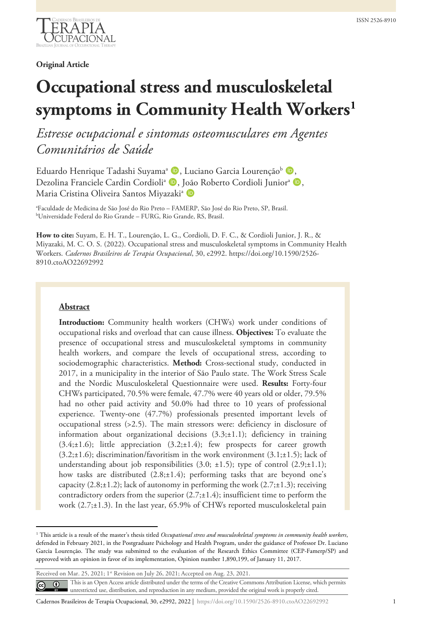

**Original Article**

# **Occupational stress and musculoskeletal symptoms in Community Health Workers[1](#page-0-0)**

*Estresse ocupacional e sintomas osteomusculares em Agentes Comunitários de Saúde*

Eduardo Henrique Tadashi Suyama<sup>a</sup> D, Luciano Garcia Lourenção<sup>b</sup> D, Dezolina Franciele Cardin Cordioli<sup>a</sup> (D, João Roberto Cordioli Junior<sup>a</sup> (D, Maria Cristina Oliveira Santos Miyazaki<sup>a</sup> D

a Faculdade de Medicina de São José do Rio Preto – FAMERP, São José do Rio Preto, SP, Brasil. b Universidade Federal do Rio Grande – FURG, Rio Grande, RS, Brasil.

**How to cite:** Suyam, E. H. T., Lourenção, L. G., Cordioli, D. F. C., & Cordioli Junior, J. R., & Miyazaki, M. C. O. S. (2022). Occupational stress and musculoskeletal symptoms in Community Health Workers. *Cadernos Brasileiros de Terapia Ocupacional*, 30, e2992. https://doi.org/10.1590/2526- 8910.ctoAO22692992

#### **Abstract**

**Introduction:** Community health workers (CHWs) work under conditions of occupational risks and overload that can cause illness. **Objectives:** To evaluate the presence of occupational stress and musculoskeletal symptoms in community health workers, and compare the levels of occupational stress, according to sociodemographic characteristics. **Method:** Cross-sectional study, conducted in 2017, in a municipality in the interior of São Paulo state. The Work Stress Scale and the Nordic Musculoskeletal Questionnaire were used. **Results:** Forty-four CHWs participated, 70.5% were female, 47.7% were 40 years old or older, 79.5% had no other paid activity and 50.0% had three to 10 years of professional experience. Twenty-one (47.7%) professionals presented important levels of occupational stress (>2.5). The main stressors were: deficiency in disclosure of information about organizational decisions  $(3.3; \pm 1.1)$ ; deficiency in training  $(3.4; \pm 1.6)$ ; little appreciation  $(3.2; \pm 1.4)$ ; few prospects for career growth  $(3.2; \pm 1.6)$ ; discrimination/favoritism in the work environment  $(3.1; \pm 1.5)$ ; lack of understanding about job responsibilities  $(3.0; \pm 1.5)$ ; type of control  $(2.9; \pm 1.1)$ ; how tasks are distributed (2.8;±1.4); performing tasks that are beyond one's capacity  $(2.8; \pm 1.2)$ ; lack of autonomy in performing the work  $(2.7; \pm 1.3)$ ; receiving contradictory orders from the superior  $(2.7; \pm 1.4)$ ; insufficient time to perform the work (2.7;±1.3). In the last year, 65.9% of CHWs reported musculoskeletal pain

<span id="page-0-0"></span><sup>&</sup>lt;sup>1</sup> This article is a result of the master's thesis titled *Occupational stress and musculoskeletal symptoms in community health workers*, defended in February 2021, in the Postgraduate Psichology and Health Program, under the guidance of Professor Dr. Luciano Garcia Lourenção. The study was submitted to the evaluation of the Research Ethics Committee (CEP-Famerp/SP) and approved with an opinion in favor of its implementation, Opinion number 1,890,199, of January 11, 2017.

Received on Mar. 25, 2021; 1st Revision on July 26, 2021; Accepted on Aug. 23, 2021. This is an Open Access article distributed under the terms of the Creative Commons Attribution License, which permits  $\odot$  $\left($ unrestricted use, distribution, and reproduction in any medium, provided the original work is properly cited.

Cadernos Brasileiros de Terapia Ocupacional, 30, e2992, 2022 | https://doi.org/10.1590/2526-8910.ctoAO22692992 1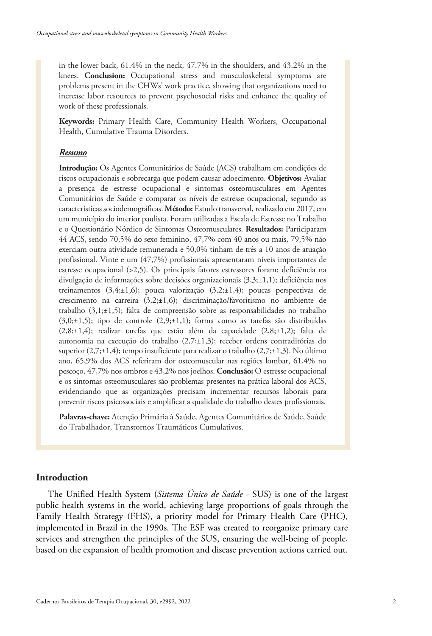in the lower back, 61.4% in the neck, 47.7% in the shoulders, and 43.2% in the knees. **Conclusion:** Occupational stress and musculoskeletal symptoms are problems present in the CHWs' work practice, showing that organizations need to increase labor resources to prevent psychosocial risks and enhance the quality of work of these professionals.

**Keywords:** Primary Health Care, Community Health Workers, Occupational Health, Cumulative Trauma Disorders.

#### *Resumo*

**Introdução:** Os Agentes Comunitários de Saúde (ACS) trabalham em condições de riscos ocupacionais e sobrecarga que podem causar adoecimento. **Objetivos:** Avaliar a presença de estresse ocupacional e sintomas osteomusculares em Agentes Comunitários de Saúde e comparar os níveis de estresse ocupacional, segundo as características sociodemográficas. **Método:** Estudo transversal, realizado em 2017, em um município do interior paulista. Foram utilizadas a Escala de Estresse no Trabalho e o Questionário Nórdico de Sintomas Osteomusculares. **Resultados:** Participaram 44 ACS, sendo 70,5% do sexo feminino, 47,7% com 40 anos ou mais, 79,5% não exerciam outra atividade remunerada e 50,0% tinham de três a 10 anos de atuação profissional. Vinte e um (47,7%) profissionais apresentaram níveis importantes de estresse ocupacional (>2,5). Os principais fatores estressores foram: deficiência na divulgação de informações sobre decisões organizacionais (3,3;±1,1); deficiência nos treinamentos (3,4;±1,6); pouca valorização (3,2;±1,4); poucas perspectivas de crescimento na carreira (3,2;±1,6); discriminação/favoritismo no ambiente de trabalho (3,1;±1,5); falta de compreensão sobre as responsabilidades no trabalho (3,0; $\pm$ 1,5); tipo de controle (2,9; $\pm$ 1,1); forma como as tarefas são distribuídas (2,8;±1,4); realizar tarefas que estão além da capacidade (2,8;±1,2); falta de autonomia na execução do trabalho (2,7;±1,3); receber ordens contraditórias do superior  $(2,7;\pm 1,4)$ ; tempo insuficiente para realizar o trabalho  $(2,7;\pm 1,3)$ . No último ano, 65,9% dos ACS referiram dor osteomuscular nas regiões lombar, 61,4% no pescoço, 47,7% nos ombros e 43,2% nos joelhos. **Conclusão:** O estresse ocupacional e os sintomas osteomusculares são problemas presentes na prática laboral dos ACS, evidenciando que as organizações precisam incrementar recursos laborais para prevenir riscos psicossociais e amplificar a qualidade do trabalho destes profissionais.

**Palavras-chave:** Atenção Primária à Saúde, Agentes Comunitários de Saúde, Saúde do Trabalhador, Transtornos Traumáticos Cumulativos.

## **Introduction**

The Unified Health System (*Sistema Único de Saúde* - SUS) is one of the largest public health systems in the world, achieving large proportions of goals through the Family Health Strategy (FHS), a priority model for Primary Health Care (PHC), implemented in Brazil in the 1990s. The ESF was created to reorganize primary care services and strengthen the principles of the SUS, ensuring the well-being of people, based on the expansion of health promotion and disease prevention actions carried out.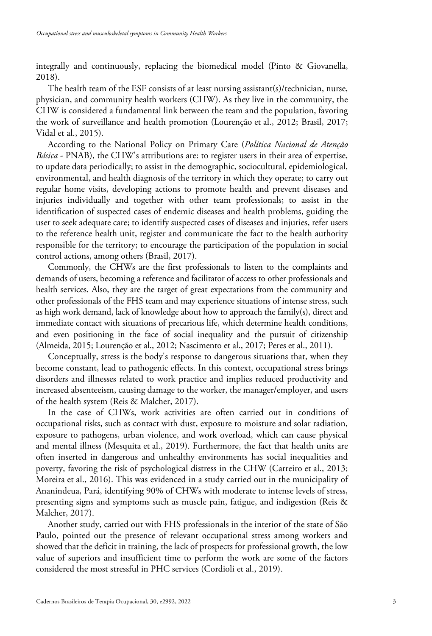integrally and continuously, replacing the biomedical model (Pinto & Giovanella, 2018).

The health team of the ESF consists of at least nursing assistant(s)/technician, nurse, physician, and community health workers (CHW). As they live in the community, the CHW is considered a fundamental link between the team and the population, favoring the work of surveillance and health promotion (Lourenção et al., 2012; Brasil, 2017; Vidal et al., 2015).

According to the National Policy on Primary Care (*Política Nacional de Atenção Básica* - PNAB), the CHW's attributions are: to register users in their area of expertise, to update data periodically; to assist in the demographic, sociocultural, epidemiological, environmental, and health diagnosis of the territory in which they operate; to carry out regular home visits, developing actions to promote health and prevent diseases and injuries individually and together with other team professionals; to assist in the identification of suspected cases of endemic diseases and health problems, guiding the user to seek adequate care; to identify suspected cases of diseases and injuries, refer users to the reference health unit, register and communicate the fact to the health authority responsible for the territory; to encourage the participation of the population in social control actions, among others (Brasil, 2017).

Commonly, the CHWs are the first professionals to listen to the complaints and demands of users, becoming a reference and facilitator of access to other professionals and health services. Also, they are the target of great expectations from the community and other professionals of the FHS team and may experience situations of intense stress, such as high work demand, lack of knowledge about how to approach the family(s), direct and immediate contact with situations of precarious life, which determine health conditions, and even positioning in the face of social inequality and the pursuit of citizenship (Almeida, 2015; Lourenção et al., 2012; Nascimento et al., 2017; Peres et al., 2011).

Conceptually, stress is the body's response to dangerous situations that, when they become constant, lead to pathogenic effects. In this context, occupational stress brings disorders and illnesses related to work practice and implies reduced productivity and increased absenteeism, causing damage to the worker, the manager/employer, and users of the health system (Reis & Malcher, 2017).

In the case of CHWs, work activities are often carried out in conditions of occupational risks, such as contact with dust, exposure to moisture and solar radiation, exposure to pathogens, urban violence, and work overload, which can cause physical and mental illness (Mesquita et al., 2019). Furthermore, the fact that health units are often inserted in dangerous and unhealthy environments has social inequalities and poverty, favoring the risk of psychological distress in the CHW (Carreiro et al., 2013; Moreira et al., 2016). This was evidenced in a study carried out in the municipality of Ananindeua, Pará, identifying 90% of CHWs with moderate to intense levels of stress, presenting signs and symptoms such as muscle pain, fatigue, and indigestion (Reis & Malcher, 2017).

Another study, carried out with FHS professionals in the interior of the state of São Paulo, pointed out the presence of relevant occupational stress among workers and showed that the deficit in training, the lack of prospects for professional growth, the low value of superiors and insufficient time to perform the work are some of the factors considered the most stressful in PHC services (Cordioli et al., 2019).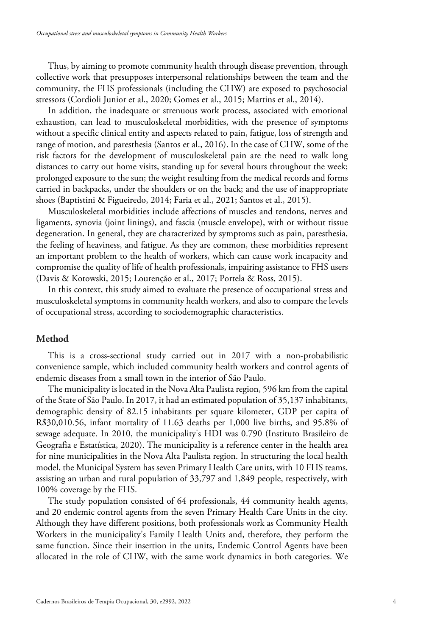Thus, by aiming to promote community health through disease prevention, through collective work that presupposes interpersonal relationships between the team and the community, the FHS professionals (including the CHW) are exposed to psychosocial stressors (Cordioli Junior et al., 2020; Gomes et al., 2015; Martins et al., 2014).

In addition, the inadequate or strenuous work process, associated with emotional exhaustion, can lead to musculoskeletal morbidities, with the presence of symptoms without a specific clinical entity and aspects related to pain, fatigue, loss of strength and range of motion, and paresthesia (Santos et al., 2016). In the case of CHW, some of the risk factors for the development of musculoskeletal pain are the need to walk long distances to carry out home visits, standing up for several hours throughout the week; prolonged exposure to the sun; the weight resulting from the medical records and forms carried in backpacks, under the shoulders or on the back; and the use of inappropriate shoes (Baptistini & Figueiredo, 2014; Faria et al., 2021; Santos et al., 2015).

Musculoskeletal morbidities include affections of muscles and tendons, nerves and ligaments, synovia (joint linings), and fascia (muscle envelope), with or without tissue degeneration. In general, they are characterized by symptoms such as pain, paresthesia, the feeling of heaviness, and fatigue. As they are common, these morbidities represent an important problem to the health of workers, which can cause work incapacity and compromise the quality of life of health professionals, impairing assistance to FHS users (Davis & Kotowski, 2015; Lourenção et al., 2017; Portela & Ross, 2015).

In this context, this study aimed to evaluate the presence of occupational stress and musculoskeletal symptoms in community health workers, and also to compare the levels of occupational stress, according to sociodemographic characteristics.

## **Method**

This is a cross-sectional study carried out in 2017 with a non-probabilistic convenience sample, which included community health workers and control agents of endemic diseases from a small town in the interior of São Paulo.

The municipality is located in the Nova Alta Paulista region, 596 km from the capital of the State of São Paulo. In 2017, it had an estimated population of 35,137 inhabitants, demographic density of 82.15 inhabitants per square kilometer, GDP per capita of R\$30,010.56, infant mortality of 11.63 deaths per 1,000 live births, and 95.8% of sewage adequate. In 2010, the municipality's HDI was 0.790 (Instituto Brasileiro de Geografia e Estatística, 2020). The municipality is a reference center in the health area for nine municipalities in the Nova Alta Paulista region. In structuring the local health model, the Municipal System has seven Primary Health Care units, with 10 FHS teams, assisting an urban and rural population of 33,797 and 1,849 people, respectively, with 100% coverage by the FHS.

The study population consisted of 64 professionals, 44 community health agents, and 20 endemic control agents from the seven Primary Health Care Units in the city. Although they have different positions, both professionals work as Community Health Workers in the municipality's Family Health Units and, therefore, they perform the same function. Since their insertion in the units, Endemic Control Agents have been allocated in the role of CHW, with the same work dynamics in both categories. We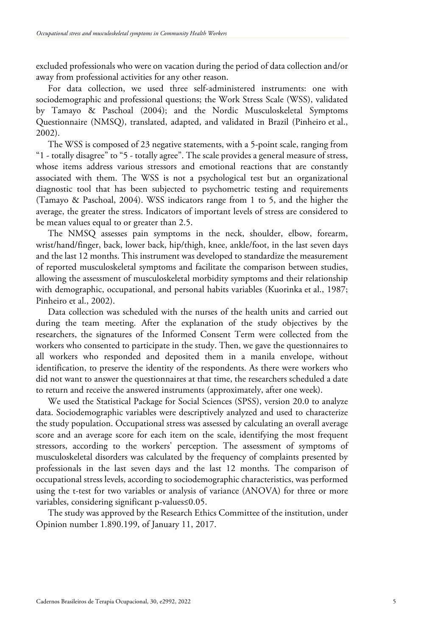excluded professionals who were on vacation during the period of data collection and/or away from professional activities for any other reason.

For data collection, we used three self-administered instruments: one with sociodemographic and professional questions; the Work Stress Scale (WSS), validated by Tamayo & Paschoal (2004); and the Nordic Musculoskeletal Symptoms Questionnaire (NMSQ), translated, adapted, and validated in Brazil (Pinheiro et al., 2002).

The WSS is composed of 23 negative statements, with a 5-point scale, ranging from "1 - totally disagree" to "5 - totally agree". The scale provides a general measure of stress, whose items address various stressors and emotional reactions that are constantly associated with them. The WSS is not a psychological test but an organizational diagnostic tool that has been subjected to psychometric testing and requirements (Tamayo & Paschoal, 2004). WSS indicators range from 1 to 5, and the higher the average, the greater the stress. Indicators of important levels of stress are considered to be mean values equal to or greater than 2.5.

The NMSQ assesses pain symptoms in the neck, shoulder, elbow, forearm, wrist/hand/finger, back, lower back, hip/thigh, knee, ankle/foot, in the last seven days and the last 12 months. This instrument was developed to standardize the measurement of reported musculoskeletal symptoms and facilitate the comparison between studies, allowing the assessment of musculoskeletal morbidity symptoms and their relationship with demographic, occupational, and personal habits variables (Kuorinka et al., 1987; Pinheiro et al., 2002).

Data collection was scheduled with the nurses of the health units and carried out during the team meeting. After the explanation of the study objectives by the researchers, the signatures of the Informed Consent Term were collected from the workers who consented to participate in the study. Then, we gave the questionnaires to all workers who responded and deposited them in a manila envelope, without identification, to preserve the identity of the respondents. As there were workers who did not want to answer the questionnaires at that time, the researchers scheduled a date to return and receive the answered instruments (approximately, after one week).

We used the Statistical Package for Social Sciences (SPSS), version 20.0 to analyze data. Sociodemographic variables were descriptively analyzed and used to characterize the study population. Occupational stress was assessed by calculating an overall average score and an average score for each item on the scale, identifying the most frequent stressors, according to the workers' perception. The assessment of symptoms of musculoskeletal disorders was calculated by the frequency of complaints presented by professionals in the last seven days and the last 12 months. The comparison of occupational stress levels, according to sociodemographic characteristics, was performed using the t-test for two variables or analysis of variance (ANOVA) for three or more variables, considering significant p-values≤0.05.

The study was approved by the Research Ethics Committee of the institution, under Opinion number 1.890.199, of January 11, 2017.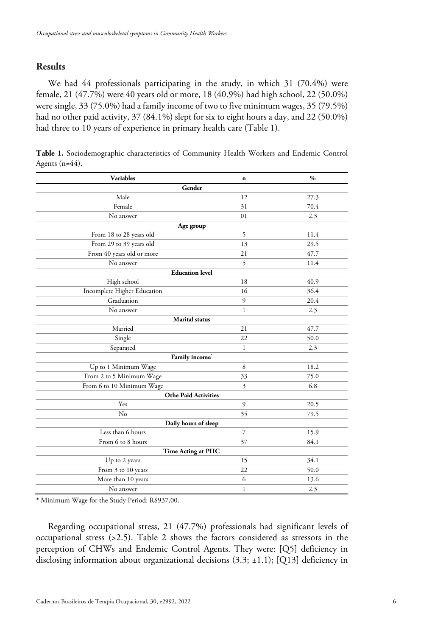## **Results**

We had 44 professionals participating in the study, in which 31 (70.4%) were female, 21 (47.7%) were 40 years old or more, 18 (40.9%) had high school, 22 (50.0%) were single, 33 (75.0%) had a family income of two to five minimum wages, 35 (79.5%) had no other paid activity, 37 (84.1%) slept for six to eight hours a day, and 22 (50.0%) had three to 10 years of experience in primary health care (Table 1).

| <b>Variables</b>            | $\mathbf n$  | $\frac{0}{0}$ |  |  |  |  |  |  |
|-----------------------------|--------------|---------------|--|--|--|--|--|--|
| Gender                      |              |               |  |  |  |  |  |  |
| Male                        | 12           | 27.3          |  |  |  |  |  |  |
| Female                      | 31           | 70.4          |  |  |  |  |  |  |
| No answer                   | 01           | 2.3           |  |  |  |  |  |  |
|                             | Age group    |               |  |  |  |  |  |  |
| From 18 to 28 years old     | 5            | 11.4          |  |  |  |  |  |  |
| From 29 to 39 years old     | 13           | 29.5          |  |  |  |  |  |  |
| From 40 years old or more   | 21           | 47.7          |  |  |  |  |  |  |
| No answer                   | 5            | 11.4          |  |  |  |  |  |  |
| <b>Education</b> level      |              |               |  |  |  |  |  |  |
| High school                 | 18           | 40.9          |  |  |  |  |  |  |
| Incomplete Higher Education | 16           | 36.4          |  |  |  |  |  |  |
| Graduation                  | 9            | 20.4          |  |  |  |  |  |  |
| No answer                   | $\mathbf{1}$ | 2.3           |  |  |  |  |  |  |
| <b>Marital</b> status       |              |               |  |  |  |  |  |  |
| Married                     | 21           | 47.7          |  |  |  |  |  |  |
| Single                      | 22           | 50.0          |  |  |  |  |  |  |
| Separated                   | $\mathbf{1}$ | 2.3           |  |  |  |  |  |  |
| Family income <sup>*</sup>  |              |               |  |  |  |  |  |  |
| Up to 1 Minimum Wage        | 8            | 18.2          |  |  |  |  |  |  |
| From 2 to 5 Minimum Wage    | 33           | 75.0          |  |  |  |  |  |  |
| From 6 to 10 Minimum Wage   | 3            | 6.8           |  |  |  |  |  |  |
| <b>Othe Paid Activities</b> |              |               |  |  |  |  |  |  |
| Yes                         | 9            | 20.5          |  |  |  |  |  |  |
| No                          | 35           | 79.5          |  |  |  |  |  |  |
| Daily hours of sleep        |              |               |  |  |  |  |  |  |
| Less than 6 hours           | 7            | 15.9          |  |  |  |  |  |  |
| From 6 to 8 hours           | 37           | 84.1          |  |  |  |  |  |  |
| Time Acting at PHC          |              |               |  |  |  |  |  |  |
| Up to 2 years               | 15           | 34.1          |  |  |  |  |  |  |
| From 3 to 10 years          | 22           | 50.0          |  |  |  |  |  |  |
| More than 10 years          | 6            | 13.6          |  |  |  |  |  |  |
| No answer                   | $\mathbf{1}$ | 2.3           |  |  |  |  |  |  |

**Table 1.** Sociodemographic characteristics of Community Health Workers and Endemic Control Agents (n=44).

\* Minimum Wage for the Study Period: R\$937,00.

Regarding occupational stress, 21 (47.7%) professionals had significant levels of occupational stress (>2.5). Table 2 shows the factors considered as stressors in the perception of CHWs and Endemic Control Agents. They were: [Q5] deficiency in disclosing information about organizational decisions (3.3; ±1.1); [Q13] deficiency in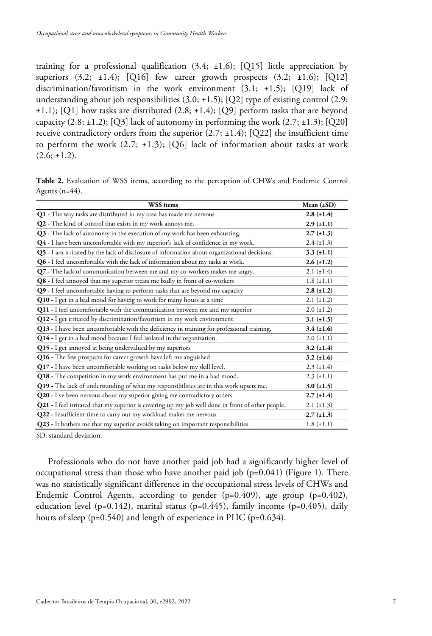training for a professional qualification  $(3.4; \pm 1.6)$ ; [Q15] little appreciation by superiors  $(3.2; \pm 1.4);$   $[Q16]$  few career growth prospects  $(3.2; \pm 1.6);$   $[Q12]$ discrimination/favoritism in the work environment (3.1; ±1.5); [Q19] lack of understanding about job responsibilities  $(3.0; \pm 1.5)$ ; [Q2] type of existing control (2.9; ±1.1); [Q1] how tasks are distributed (2.8; ±1.4); [Q9] perform tasks that are beyond capacity  $(2.8; \pm 1.2);$   $[Q3]$  lack of autonomy in performing the work  $(2.7; \pm 1.3);$   $[Q20]$ receive contradictory orders from the superior  $(2.7; \pm 1.4)$ ;  $[Q22]$  the insufficient time to perform the work  $(2.7; \pm 1.3)$ ;  $[Q6]$  lack of information about tasks at work  $(2.6; \pm 1.2).$ 

|                |  |  |  |  | Table 2. Evaluation of WSS items, according to the perception of CHWs and Endemic Control |  |  |  |
|----------------|--|--|--|--|-------------------------------------------------------------------------------------------|--|--|--|
| Agents (n=44). |  |  |  |  |                                                                                           |  |  |  |

| <b>WSS</b> items                                                                                    | Mean $(\pm SD)$   |
|-----------------------------------------------------------------------------------------------------|-------------------|
| Q1 - The way tasks are distributed in my area has made me nervous                                   | $2.8 (\pm 1.4)$   |
| Q2 - The kind of control that exists in my work annoys me.                                          | $2.9 \ (\pm 1.1)$ |
| Q3 - The lack of autonomy in the execution of my work has been exhausting.                          | $2.7 \ (\pm 1.3)$ |
| Q4 - I have been uncomfortable with my superior's lack of confidence in my work.                    | $2.4 \ (\pm 1.3)$ |
| <b>Q5</b> - I am irritated by the lack of disclosure of information about organizational decisions. | $3.3 \ (\pm 1.1)$ |
| Q6 - I feel uncomfortable with the lack of information about my tasks at work.                      | $2.6 (\pm 1.2)$   |
| Q7 - The lack of communication between me and my co-workers makes me angry.                         | $2.1 (\pm 1.4)$   |
| Q8 - I feel annoyed that my superior treats me badly in front of co-workers                         | $1.8 \ (\pm 1.1)$ |
| Q9 - I feel uncomfortable having to perform tasks that are beyond my capacity                       | $2.8 (\pm 1.2)$   |
| Q10 - I get in a bad mood for having to work for many hours at a time                               | $2.1 (\pm 1.2)$   |
| Q11 - I feel uncomfortable with the communication between me and my superior                        | $2.0 \ (\pm 1.2)$ |
| Q12 - I get irritated by discrimination/favoritism in my work environment.                          | $3.1 (\pm 1.5)$   |
| Q13 - I have been uncomfortable with the deficiency in training for professional training.          | $3.4 (\pm 1.6)$   |
| Q14 - I get in a bad mood because I feel isolated in the organization.                              | $2.0 (\pm 1.1)$   |
| Q15 - I get annoyed at being undervalued by my superiors                                            | $3.2 (\pm 1.4)$   |
| Q16 - The few prospects for career growth have left me anguished                                    | $3.2 \ (\pm 1.6)$ |
| Q17 - I have been uncomfortable working on tasks below my skill level.                              | $2.3 \ (\pm 1.4)$ |
| Q18 - The competition in my work environment has put me in a bad mood.                              | $2.3 \ (\pm 1.1)$ |
| Q19 - The lack of understanding of what my responsibilities are in this work upsets me.             | $3.0 (\pm 1.5)$   |
| Q20 - I've been nervous about my superior giving me contradictory orders                            | $2.7(\pm 1.4)$    |
| Q21 - I feel irritated that my superior is covering up my job well done in front of other people.   | $2.1 (\pm 1.3)$   |
| Q22 - Insufficient time to carry out my workload makes me nervous                                   | $2.7 \ (\pm 1.3)$ |
| Q23 - It bothers me that my superior avoids taking on important responsibilities.                   | $1.8 \ (\pm 1.1)$ |

SD: standard deviation.

Professionals who do not have another paid job had a significantly higher level of occupational stress than those who have another paid job (p=0.041) (Figure 1). There was no statistically significant difference in the occupational stress levels of CHWs and Endemic Control Agents, according to gender (p=0.409), age group (p=0.402), education level (p=0.142), marital status (p=0.445), family income (p=0.405), daily hours of sleep ( $p=0.540$ ) and length of experience in PHC ( $p=0.634$ ).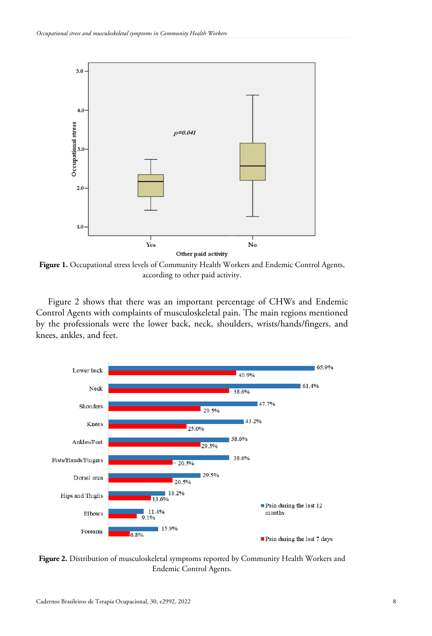

**Figure 1.** Occupational stress levels of Community Health Workers and Endemic Control Agents, according to other paid activity.

Figure 2 shows that there was an important percentage of CHWs and Endemic Control Agents with complaints of musculoskeletal pain. The main regions mentioned by the professionals were the lower back, neck, shoulders, wrists/hands/fingers, and knees, ankles, and feet.



**Figure 2.** Distribution of musculoskeletal symptoms reported by Community Health Workers and Endemic Control Agents.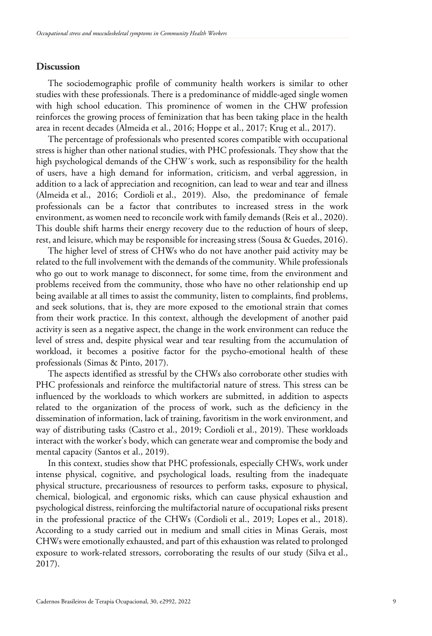## **Discussion**

The sociodemographic profile of community health workers is similar to other studies with these professionals. There is a predominance of middle-aged single women with high school education. This prominence of women in the CHW profession reinforces the growing process of feminization that has been taking place in the health area in recent decades (Almeida et al., 2016; Hoppe et al., 2017; Krug et al., 2017).

The percentage of professionals who presented scores compatible with occupational stress is higher than other national studies, with PHC professionals. They show that the high psychological demands of the CHW´s work, such as responsibility for the health of users, have a high demand for information, criticism, and verbal aggression, in addition to a lack of appreciation and recognition, can lead to wear and tear and illness (Almeida et al., 2016; Cordioli et al., 2019). Also, the predominance of female professionals can be a factor that contributes to increased stress in the work environment, as women need to reconcile work with family demands (Reis et al., 2020). This double shift harms their energy recovery due to the reduction of hours of sleep, rest, and leisure, which may be responsible for increasing stress (Sousa & Guedes, 2016).

The higher level of stress of CHWs who do not have another paid activity may be related to the full involvement with the demands of the community. While professionals who go out to work manage to disconnect, for some time, from the environment and problems received from the community, those who have no other relationship end up being available at all times to assist the community, listen to complaints, find problems, and seek solutions, that is, they are more exposed to the emotional strain that comes from their work practice. In this context, although the development of another paid activity is seen as a negative aspect, the change in the work environment can reduce the level of stress and, despite physical wear and tear resulting from the accumulation of workload, it becomes a positive factor for the psycho-emotional health of these professionals (Simas & Pinto, 2017).

The aspects identified as stressful by the CHWs also corroborate other studies with PHC professionals and reinforce the multifactorial nature of stress. This stress can be influenced by the workloads to which workers are submitted, in addition to aspects related to the organization of the process of work, such as the deficiency in the dissemination of information, lack of training, favoritism in the work environment, and way of distributing tasks (Castro et al., 2019; Cordioli et al., 2019). These workloads interact with the worker's body, which can generate wear and compromise the body and mental capacity (Santos et al., 2019).

In this context, studies show that PHC professionals, especially CHWs, work under intense physical, cognitive, and psychological loads, resulting from the inadequate physical structure, precariousness of resources to perform tasks, exposure to physical, chemical, biological, and ergonomic risks, which can cause physical exhaustion and psychological distress, reinforcing the multifactorial nature of occupational risks present in the professional practice of the CHWs (Cordioli et al., 2019; Lopes et al., 2018). According to a study carried out in medium and small cities in Minas Gerais, most CHWs were emotionally exhausted, and part of this exhaustion was related to prolonged exposure to work-related stressors, corroborating the results of our study (Silva et al., 2017).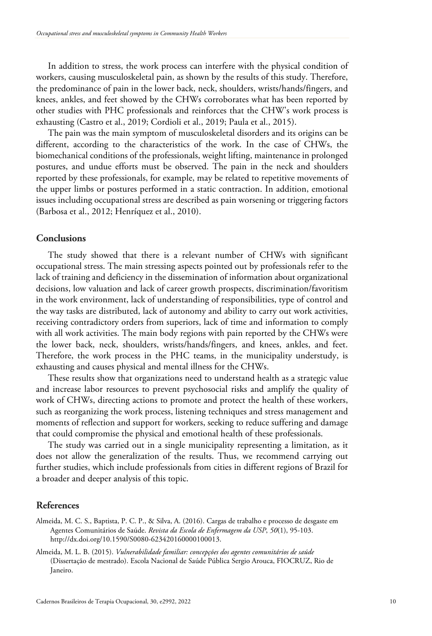In addition to stress, the work process can interfere with the physical condition of workers, causing musculoskeletal pain, as shown by the results of this study. Therefore, the predominance of pain in the lower back, neck, shoulders, wrists/hands/fingers, and knees, ankles, and feet showed by the CHWs corroborates what has been reported by other studies with PHC professionals and reinforces that the CHW's work process is exhausting (Castro et al., 2019; Cordioli et al., 2019; Paula et al., 2015).

The pain was the main symptom of musculoskeletal disorders and its origins can be different, according to the characteristics of the work. In the case of CHWs, the biomechanical conditions of the professionals, weight lifting, maintenance in prolonged postures, and undue efforts must be observed. The pain in the neck and shoulders reported by these professionals, for example, may be related to repetitive movements of the upper limbs or postures performed in a static contraction. In addition, emotional issues including occupational stress are described as pain worsening or triggering factors (Barbosa et al., 2012; Henríquez et al., 2010).

## **Conclusions**

The study showed that there is a relevant number of CHWs with significant occupational stress. The main stressing aspects pointed out by professionals refer to the lack of training and deficiency in the dissemination of information about organizational decisions, low valuation and lack of career growth prospects, discrimination/favoritism in the work environment, lack of understanding of responsibilities, type of control and the way tasks are distributed, lack of autonomy and ability to carry out work activities, receiving contradictory orders from superiors, lack of time and information to comply with all work activities. The main body regions with pain reported by the CHWs were the lower back, neck, shoulders, wrists/hands/fingers, and knees, ankles, and feet. Therefore, the work process in the PHC teams, in the municipality understudy, is exhausting and causes physical and mental illness for the CHWs.

These results show that organizations need to understand health as a strategic value and increase labor resources to prevent psychosocial risks and amplify the quality of work of CHWs, directing actions to promote and protect the health of these workers, such as reorganizing the work process, listening techniques and stress management and moments of reflection and support for workers, seeking to reduce suffering and damage that could compromise the physical and emotional health of these professionals.

The study was carried out in a single municipality representing a limitation, as it does not allow the generalization of the results. Thus, we recommend carrying out further studies, which include professionals from cities in different regions of Brazil for a broader and deeper analysis of this topic.

## **References**

Almeida, M. C. S., Baptista, P. C. P., & Silva, A. (2016). Cargas de trabalho e processo de desgaste em Agentes Comunitários de Saúde. *Revista da Escola de Enfermagem da USP*, *50*(1), 95-103. http://dx.doi.org/10.1590/S0080-623420160000100013.

Almeida, M. L. B. (2015). *Vulnerabilidade familiar: concepções dos agentes comunitários de saúde* (Dissertação de mestrado). Escola Nacional de Saúde Pública Sergio Arouca, FIOCRUZ, Rio de Janeiro.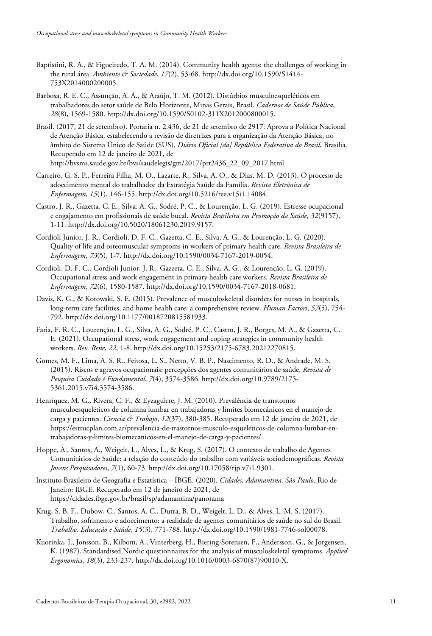- Baptistini, R. A., & Figueiredo, T. A. M. (2014). Community health agents: the challenges of working in the rural área. *Ambiente & Sociedade*, *17*(2), 53-68. http://dx.doi.org/10.1590/S1414- 753X2014000200005.
- Barbosa, R. E. C., Assunção, A. Á., & Araújo, T. M. (2012). Distúrbios musculoesqueléticos em trabalhadores do setor saúde de Belo Horizonte, Minas Gerais, Brasil. *Cadernos de Saúde Pública*, *28*(8), 1569-1580. http://dx.doi.org/10.1590/S0102-311X2012000800015.
- Brasil. (2017, 21 de setembro). Portaria n. 2.436, de 21 de setembro de 2917. Aprova a Política Nacional de Atenção Básica, estabelecendo a revisão de diretrizes para a organização da Atenção Básica, no âmbito do Sistema Único de Saúde (SUS). *Diário Oficial [da] República Federativa do Brasil*, Brasília. Recuperado em 12 de janeiro de 2021, de http://bvsms.saude.gov.br/bvs/saudelegis/gm/2017/prt2436\_22\_09\_2017.html
- Carreiro, G. S. P., Ferreira Filha, M. O., Lazarte, R., Silva, A. O., & Dias, M. D. (2013). O processo de adoecimento mental do trabalhador da Estratégia Saúde da Família. *Revista Eletrônica de Enfermagem*, *15*(1), 146-155. http://dx.doi.org/10.5216/ree.v15i1.14084.
- Castro, J. R., Gazetta, C. E., Silva, A. G., Sodré, P. C., & Lourenção, L. G. (2019). Estresse ocupacional e engajamento em profissionais de saúde bucal. *Revista Brasileira em Promoção da Saúde*, *32*(9157), 1-11. http://dx.doi.org/10.5020/18061230.2019.9157.
- Cordioli Junior, J. R., Cordioli, D. F. C., Gazetta, C. E., Silva, A. G., & Lourenção, L. G. (2020). Quality of life and osteomuscular symptoms in workers of primary health care. *Revista Brasileira de Enfermagem*, *73*(5), 1-7. http://dx.doi.org/10.1590/0034-7167-2019-0054.
- Cordioli, D. F. C., Cordioli Junior, J. R., Gazzeta, C. E., Silva, A. G., & Lourenção, L. G. (2019). Occupational stress and work engagement in primary health care workers. *Revista Brasileira de Enfermagem*, *72*(6), 1580-1587. http://dx.doi.org/10.1590/0034-7167-2018-0681.
- Davis, K. G., & Kotowski, S. E. (2015). Prevalence of musculoskeletal disorders for nurses in hospitals, long-term care facilities, and home health care: a comprehensive review. *Human Factors*, *57*(5), 754- 792. http://dx.doi.org/10.1177/0018720815581933.
- Faria, F. R. C., Lourenção, L. G., Silva, A. G., Sodré, P. C., Castro, J. R., Borges, M. A., & Gazetta, C. E. (2021). Occupational stress, work engagement and coping strategies in community health workers. *Rev. Rene*, *22*, 1-8. http://dx.doi.org/10.15253/2175-6783.20212270815.
- Gomes, M. F., Lima, A. S. R., Feitosa, L. S., Netto, V. B. P., Nascimento, R. D., & Andrade, M. S. (2015). Riscos e agravos ocupacionais: percepções dos agentes comunitários de saúde. *Revista de Pesquisa Cuidado é Fundamental*, *7*(4), 3574-3586. http://dx.doi.org/10.9789/2175- 5361.2015.v7i4.3574-3586.
- Henríquez, M. G., Rivera, C. F., & Eyzaguirre, J. M. (2010). Prevalência de transtornos musculoesqueléticos de columna lumbar en trabajadoras y límites biomecánicos en el manejo de carga y pacientes. *Ciencia & Trabajo*, *12*(37), 380-385. Recuperado em 12 de janeiro de 2021, de https://estrucplan.com.ar/prevalencia-de-trastornos-musculo-esqueleticos-de-columna-lumbar-entrabajadoras-y-limites-biomecanicos-en-el-manejo-de-carga-y-pacientes/
- Hoppe, A., Santos, A., Weigelt, L., Alves, L., & Krug, S. (2017). O contexto de trabalho de Agentes Comunitários de Saúde: a relação do conteúdo do trabalho com variáveis sociodemográficas. *Revista Jovens Pesquisadores*, *7*(1), 60-73. http://dx.doi.org/10.17058/rjp.v7i1.9301.
- Instituto Brasileiro de Geografia e Estatística IBGE. (2020). *Cidades, Adamantina, São Paulo*. Rio de Janeiro: IBGE. Recuperado em 12 de janeiro de 2021, de https://cidades.ibge.gov.br/brasil/sp/adamantina/panorama
- Krug, S. B. F., Dubow, C., Santos, A. C., Dutra, B. D., Weigelt, L. D., & Alves, L. M. S. (2017). Trabalho, sofrimento e adoecimento: a realidade de agentes comunitários de saúde no sul do Brasil. *Trabalho, Educação e Saúde*, *15*(3), 771-788. http://dx.doi.org/10.1590/1981-7746-sol00078.
- Kuorinka, I., Jonsson, B., Kilbom, A., Vinterberg, H., Biering-Sorensen, F., Andersson, G., & Jorgensen, K. (1987). Standardised Nordic questionnaires for the analysis of musculoskeletal symptoms. *Applied Ergonomics*, *18*(3), 233-237. http://dx.doi.org/10.1016/0003-6870(87)90010-X.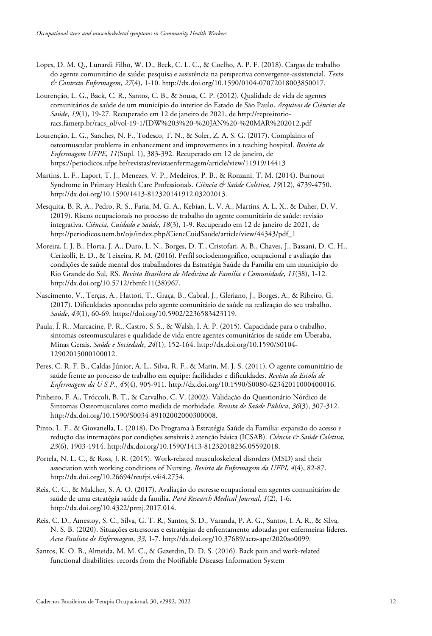- Lopes, D. M. Q., Lunardi Filho, W. D., Beck, C. L. C., & Coelho, A. P. F. (2018). Cargas de trabalho do agente comunitário de saúde: pesquisa e assistência na perspectiva convergente-assistencial. *Texto & Contexto Enfermagem*, *27*(4), 1-10. http://dx.doi.org/10.1590/0104-07072018003850017.
- Lourenção, L. G., Back, C. R., Santos, C. B., & Sousa, C. P. (2012). Qualidade de vida de agentes comunitários de saúde de um município do interior do Estado de São Paulo. *Arquivos de Ciências da Saúde*, *19*(1), 19-27. Recuperado em 12 de janeiro de 2021, de http://repositorioracs.famerp.br/racs\_ol/vol-19-1/IDW%203%20-%20JAN%20-%20MAR%202012.pdf
- Lourenção, L. G., Sanches, N. F., Todesco, T. N., & Soler, Z. A. S. G. (2017). Complaints of osteomuscular problems in enhancement and improvements in a teaching hospital. *Revista de Enfermagem UFPE*, *11*(Supl. 1), 383-392. Recuperado em 12 de janeiro, de https://periodicos.ufpe.br/revistas/revistaenfermagem/article/view/11919/14413
- Martins, L. F., Laport, T. J., Menezes, V. P., Medeiros, P. B., & Ronzani, T. M. (2014). Burnout Syndrome in Primary Health Care Professionals. *Ciência & Saúde Coletiva*, *19*(12), 4739-4750. http://dx.doi.org/10.1590/1413-812320141912.03202013.
- Mesquita, B. R. A., Pedro, R. S., Faria, M. G. A., Kebian, L. V. A., Martins, A. L. X., & Daher, D. V. (2019). Riscos ocupacionais no processo de trabalho do agente comunitário de saúde: revisão integrativa. *Ciência, Cuidado e Saúde*, *18*(3), 1-9. Recuperado em 12 de janeiro de 2021, de http://periodicos.uem.br/ojs/index.php/CiencCuidSaude/article/view/44343/pdf\_1
- Moreira, I. J. B., Horta, J. A., Duro, L. N., Borges, D. T., Cristofari, A. B., Chaves, J., Bassani, D. C. H., Cerizolli, E. D., & Teixeira, R. M. (2016). Perfil sociodemográfico, ocupacional e avaliação das condições de saúde mental dos trabalhadores da Estratégia Saúde da Família em um município do Rio Grande do Sul, RS. *Revista Brasileira de Medicina de Família e Comunidade*, *11*(38), 1-12. http://dx.doi.org/10.5712/rbmfc11(38)967.
- Nascimento, V., Terças, A., Hattori, T., Graça, B., Cabral, J., Gleriano, J., Borges, A., & Ribeiro, G. (2017). Dificuldades apontadas pelo agente comunitário de saúde na realização do seu trabalho. *Saúde*, *43*(1), 60-69. https://doi.org/10.5902/2236583423119.
- Paula, Í. R., Marcacine, P. R., Castro, S. S., & Walsh, I. A. P. (2015). Capacidade para o trabalho, sintomas osteomusculares e qualidade de vida entre agentes comunitários de saúde em Uberaba, Minas Gerais. *Saúde e Sociedade*, *24*(1), 152-164. http://dx.doi.org/10.1590/S0104- 12902015000100012.
- Peres, C. R. F. B., Caldas Júnior, A. L., Silva, R. F., & Marin, M. J. S. (2011). O agente comunitário de saúde frente ao processo de trabalho em equipe: facilidades e dificuldades. *Revista da Escola de Enfermagem da U S P.*, *45*(4), 905-911. http://dx.doi.org/10.1590/S0080-62342011000400016.
- Pinheiro, F. A., Tróccoli, B. T., & Carvalho, C. V. (2002). Validação do Questionário Nórdico de Sintomas Osteomusculares como medida de morbidade. *Revista de Saúde Pública*, *36*(3), 307-312. http://dx.doi.org/10.1590/S0034-89102002000300008.
- Pinto, L. F., & Giovanella, L. (2018). Do Programa à Estratégia Saúde da Família: expansão do acesso e redução das internações por condições sensíveis à atenção básica (ICSAB). *Ciência & Saúde Coletiva*, *23*(6), 1903-1914. http://dx.doi.org/10.1590/1413-81232018236.05592018.
- Portela, N. L. C., & Ross, J. R. (2015). Work-related musculoskeletal disorders (MSD) and their association with working conditions of Nursing. *Revista de Enfermagem da UFPI*, *4*(4), 82-87. http://dx.doi.org/10.26694/reufpi.v4i4.2754.
- Reis, C. C., & Malcher, S. A. O. (2017). Avaliação do estresse ocupacional em agentes comunitários de saúde de uma estratégia saúde da família. *Pará Research Medical Journal*, *1*(2), 1-6. http://dx.doi.org/10.4322/prmj.2017.014.
- Reis, C. D., Amestoy, S. C., Silva, G. T. R., Santos, S. D., Varanda, P. A. G., Santos, I. A. R., & Silva, N. S. B. (2020). Situações estressoras e estratégias de enfrentamento adotadas por enfermeiras líderes. *Acta Paulista de Enfermagem*, *33*, 1-7. http://dx.doi.org/10.37689/acta-ape/2020ao0099.
- Santos, K. O. B., Almeida, M. M. C., & Gazerdin, D. D. S. (2016). Back pain and work-related functional disabilities: records from the Notifiable Diseases Information System